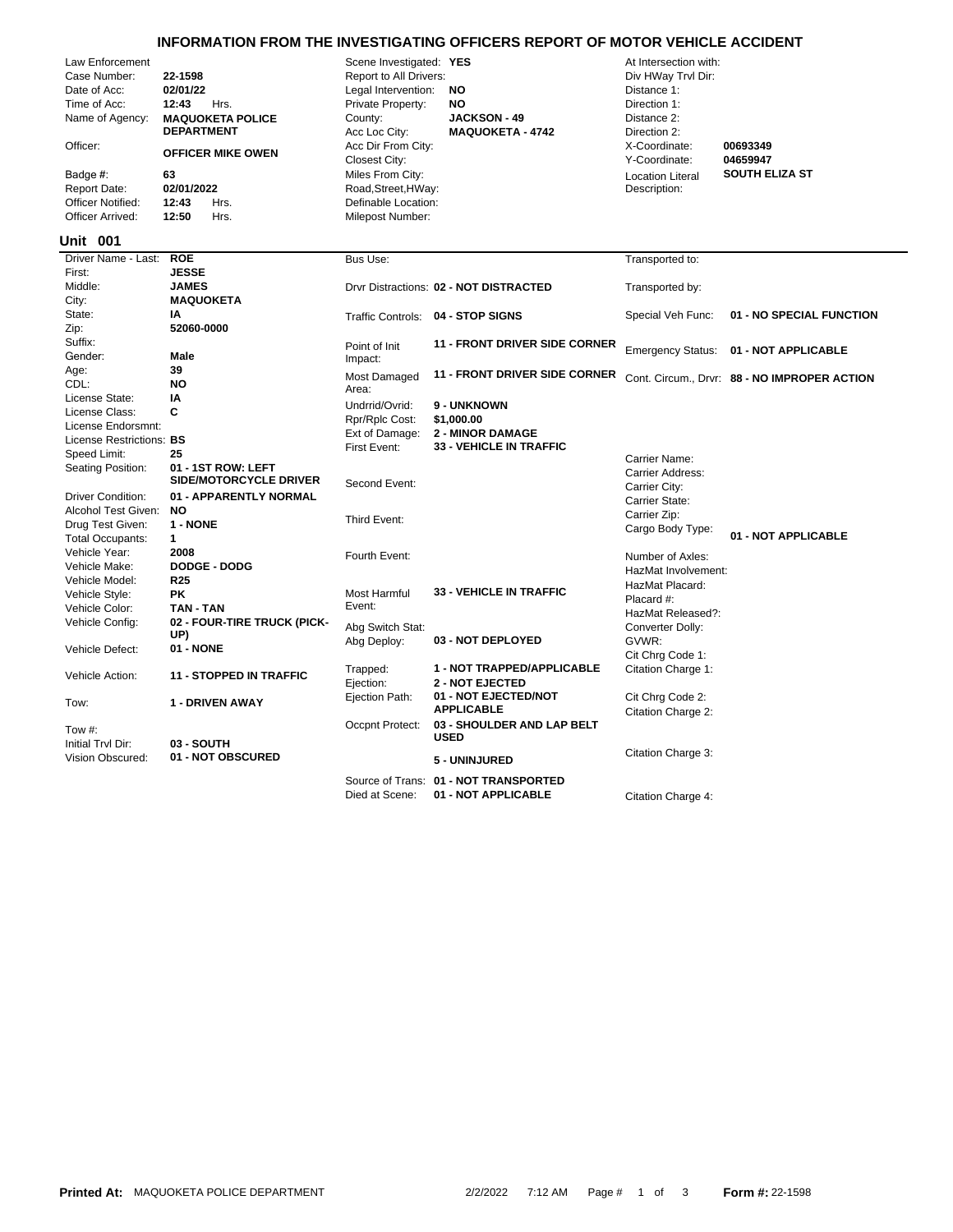## **INFORMATION FROM THE INVESTIGATING OFFICERS REPORT OF MOTOR VEHICLE ACCIDENT**

|                          |                                |                              | <u>INFORMATION FROM THE INVESTIGATING OFFICERS REPORT OF MOTOR VEHICLE ACCIDENT</u> |                         |                                            |
|--------------------------|--------------------------------|------------------------------|-------------------------------------------------------------------------------------|-------------------------|--------------------------------------------|
| Law Enforcement          |                                | Scene Investigated: YES      |                                                                                     | At Intersection with:   |                                            |
| Case Number:             | 22-1598                        | Report to All Drivers:       |                                                                                     | Div HWay Trvl Dir:      |                                            |
| Date of Acc:             | 02/01/22                       | Legal Intervention:          | <b>NO</b>                                                                           | Distance 1:             |                                            |
| Time of Acc:             | 12:43<br>Hrs.                  | Private Property:            | <b>NO</b>                                                                           | Direction 1:            |                                            |
| Name of Agency:          | <b>MAQUOKETA POLICE</b>        | County:                      | <b>JACKSON - 49</b>                                                                 | Distance 2:             |                                            |
|                          | <b>DEPARTMENT</b>              | Acc Loc City:                | <b>MAQUOKETA - 4742</b>                                                             | Direction 2:            |                                            |
| Officer:                 | <b>OFFICER MIKE OWEN</b>       | Acc Dir From City:           |                                                                                     | X-Coordinate:           | 00693349                                   |
|                          |                                | Closest City:                |                                                                                     | Y-Coordinate:           | 04659947                                   |
| Badge #:                 | 63                             | Miles From City:             |                                                                                     | <b>Location Literal</b> | <b>SOUTH ELIZA ST</b>                      |
| <b>Report Date:</b>      | 02/01/2022                     | Road, Street, HWay:          |                                                                                     | Description:            |                                            |
| <b>Officer Notified:</b> | 12:43<br>Hrs.                  | Definable Location:          |                                                                                     |                         |                                            |
| Officer Arrived:         | 12:50<br>Hrs.                  | Milepost Number:             |                                                                                     |                         |                                            |
|                          |                                |                              |                                                                                     |                         |                                            |
| <b>Unit 001</b>          |                                |                              |                                                                                     |                         |                                            |
| Driver Name - Last:      | <b>ROE</b>                     | Bus Use:                     |                                                                                     | Transported to:         |                                            |
| First:                   | <b>JESSE</b>                   |                              |                                                                                     |                         |                                            |
| Middle:                  | <b>JAMES</b>                   |                              | Drvr Distractions: 02 - NOT DISTRACTED                                              | Transported by:         |                                            |
| City:                    | <b>MAQUOKETA</b>               |                              |                                                                                     |                         |                                            |
| State:                   | IA                             |                              | Traffic Controls: 04 - STOP SIGNS                                                   | Special Veh Func:       | 01 - NO SPECIAL FUNCTION                   |
| Zip:                     | 52060-0000                     |                              |                                                                                     |                         |                                            |
| Suffix:                  |                                | Point of Init                | <b>11 - FRONT DRIVER SIDE CORNER</b>                                                |                         |                                            |
| Gender:                  | <b>Male</b>                    | Impact:                      |                                                                                     |                         | Emergency Status: 01 - NOT APPLICABLE      |
| Age:                     | 39                             |                              | <b>11 - FRONT DRIVER SIDE CORNER</b>                                                |                         |                                            |
| CDL:                     | <b>NO</b>                      | <b>Most Damaged</b><br>Area: |                                                                                     |                         | Cont. Circum Drvr: 88 - NO IMPROPER ACTION |
| License State:           | IA                             |                              |                                                                                     |                         |                                            |
| License Class:           | C                              | Undrrid/Ovrid:               | 9 - UNKNOWN                                                                         |                         |                                            |
| License Endorsmnt:       |                                | Rpr/Rplc Cost:               | \$1,000.00                                                                          |                         |                                            |
| License Restrictions: BS |                                | Ext of Damage:               | <b>2 - MINOR DAMAGE</b>                                                             |                         |                                            |
| Speed Limit:             | 25                             | First Event:                 | <b>33 - VEHICLE IN TRAFFIC</b>                                                      |                         |                                            |
| Seating Position:        | 01 - 1ST ROW: LEFT             |                              |                                                                                     | Carrier Name:           |                                            |
|                          | <b>SIDE/MOTORCYCLE DRIVER</b>  | Second Event:                |                                                                                     | Carrier Address:        |                                            |
| <b>Driver Condition:</b> | 01 - APPARENTLY NORMAL         |                              |                                                                                     | Carrier City:           |                                            |
| Alcohol Test Given:      | <b>NO</b>                      |                              |                                                                                     | Carrier State:          |                                            |
|                          |                                | Third Event:                 |                                                                                     | Carrier Zip:            |                                            |
| Drug Test Given:         | 1 - NONE                       |                              |                                                                                     | Cargo Body Type:        | 01 - NOT APPLICABLE                        |
| <b>Total Occupants:</b>  | $\mathbf{1}$                   |                              |                                                                                     |                         |                                            |
| Vehicle Year:            | 2008                           | Fourth Event:                |                                                                                     | Number of Axles:        |                                            |
| Vehicle Make:            | <b>DODGE - DODG</b>            |                              |                                                                                     | HazMat Involvement:     |                                            |
| Vehicle Model:           | R <sub>25</sub>                |                              | <b>33 - VEHICLE IN TRAFFIC</b>                                                      | HazMat Placard:         |                                            |
| Vehicle Style:           | PK                             | Most Harmful                 |                                                                                     | Placard #:              |                                            |
| Vehicle Color:           | <b>TAN - TAN</b>               | Event:                       |                                                                                     | HazMat Released?:       |                                            |
| Vehicle Config:          | 02 - FOUR-TIRE TRUCK (PICK-    | Abg Switch Stat:             |                                                                                     | Converter Dolly:        |                                            |
|                          | UP)                            | Abg Deploy:                  | 03 - NOT DEPLOYED                                                                   | GVWR:                   |                                            |
| Vehicle Defect:          | 01 - NONE                      |                              |                                                                                     | Cit Chrg Code 1:        |                                            |
|                          |                                | Trapped:                     | 1 - NOT TRAPPED/APPLICABLE                                                          | Citation Charge 1:      |                                            |
| Vehicle Action:          | <b>11 - STOPPED IN TRAFFIC</b> | Ejection:                    | <b>2 - NOT EJECTED</b>                                                              |                         |                                            |
|                          |                                | Ejection Path:               | 01 - NOT EJECTED/NOT                                                                | Cit Chrg Code 2:        |                                            |
| Tow:                     | 1 - DRIVEN AWAY                |                              | <b>APPLICABLE</b>                                                                   | Citation Charge 2:      |                                            |
|                          |                                | Occpnt Protect:              | 03 - SHOULDER AND LAP BELT                                                          |                         |                                            |
| Tow #:                   |                                |                              | <b>USED</b>                                                                         |                         |                                            |
| Initial Tryl Dir:        | 03 - SOUTH                     |                              |                                                                                     |                         |                                            |
| Vision Obscured:         | 01 - NOT OBSCURED              |                              | 5 - UNINJURED                                                                       | Citation Charge 3:      |                                            |
|                          |                                |                              | Source of Trans: 01 - NOT TRANSPORTED                                               |                         |                                            |

Died at Scene: **01 - NOT APPLICABLE** Citation Charge 4: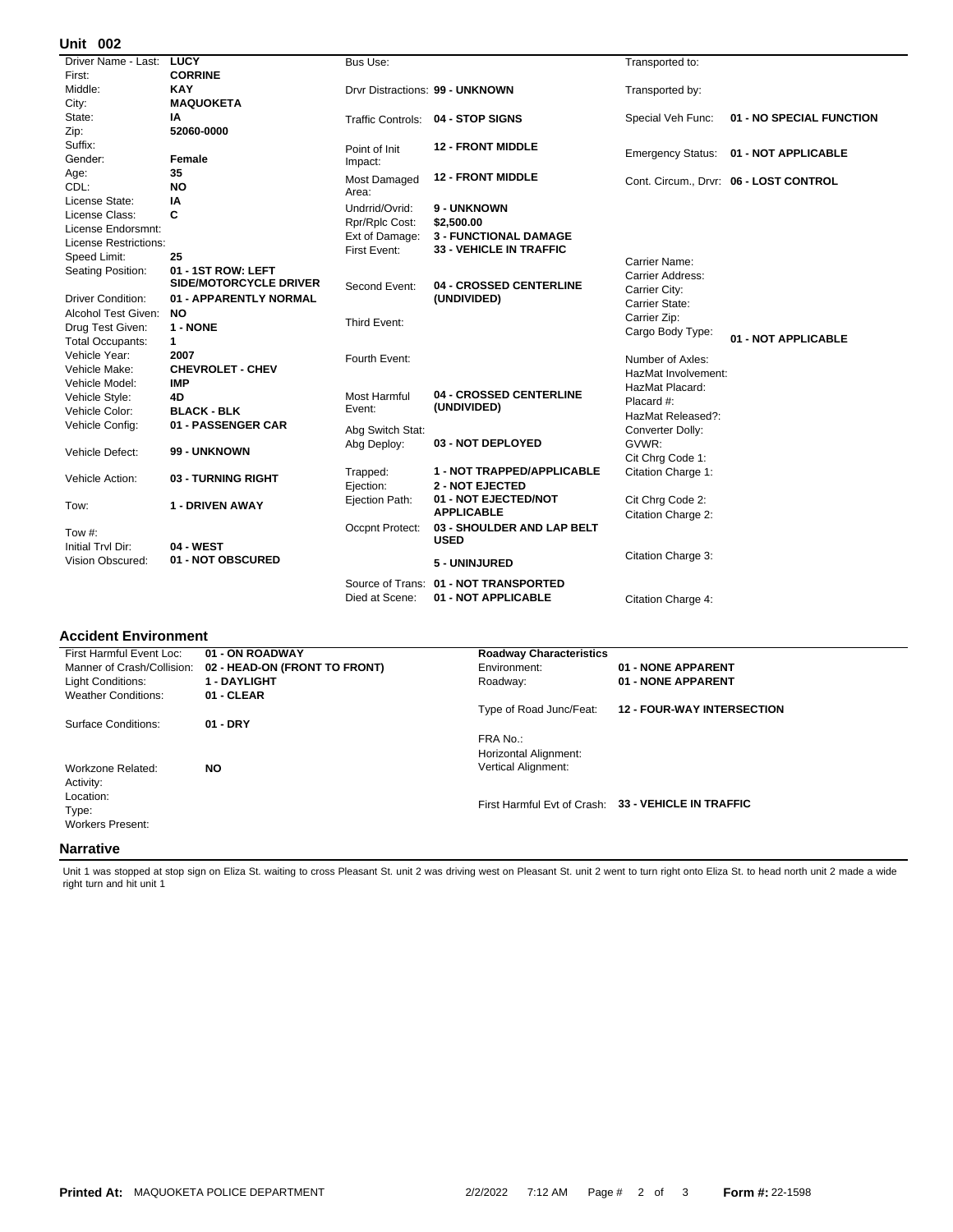## **002 Unit**

| UIIIL VU <i>l</i>            |                               |                                |                                   |                          |                                        |
|------------------------------|-------------------------------|--------------------------------|-----------------------------------|--------------------------|----------------------------------------|
| Driver Name - Last:          | <b>LUCY</b>                   | Bus Use:                       |                                   | Transported to:          |                                        |
| First:                       | <b>CORRINE</b>                |                                |                                   |                          |                                        |
| Middle:                      | <b>KAY</b>                    |                                | Drvr Distractions: 99 - UNKNOWN   | Transported by:          |                                        |
| City:                        | <b>MAQUOKETA</b>              |                                |                                   |                          |                                        |
| State:                       | IA                            |                                | Traffic Controls: 04 - STOP SIGNS | Special Veh Func:        | 01 - NO SPECIAL FUNCTION               |
| Zip:                         | 52060-0000                    |                                |                                   |                          |                                        |
| Suffix:                      |                               | Point of Init                  | <b>12 - FRONT MIDDLE</b>          |                          | 01 - NOT APPLICABLE                    |
| Gender:                      | Female                        | Impact:                        |                                   | <b>Emergency Status:</b> |                                        |
| Age:                         | 35                            | Most Damaged                   | <b>12 - FRONT MIDDLE</b>          |                          |                                        |
| CDL:                         | <b>NO</b>                     | Area:                          |                                   |                          | Cont. Circum., Drvr: 06 - LOST CONTROL |
| License State:               | ΙA                            | Undrrid/Ovrid:                 | <b>9 - UNKNOWN</b>                |                          |                                        |
| License Class:               | C                             |                                | \$2,500.00                        |                          |                                        |
| License Endorsmnt:           |                               | Rpr/Rplc Cost:                 | <b>3 - FUNCTIONAL DAMAGE</b>      |                          |                                        |
| <b>License Restrictions:</b> |                               | Ext of Damage:<br>First Event: | <b>33 - VEHICLE IN TRAFFIC</b>    |                          |                                        |
| Speed Limit:                 | 25                            |                                |                                   | Carrier Name:            |                                        |
| Seating Position:            | 01 - 1ST ROW: LEFT            |                                |                                   | Carrier Address:         |                                        |
|                              | <b>SIDE/MOTORCYCLE DRIVER</b> | Second Event:                  | 04 - CROSSED CENTERLINE           | Carrier City:            |                                        |
| Driver Condition:            | 01 - APPARENTLY NORMAL        |                                | (UNDIVIDED)                       | Carrier State:           |                                        |
| Alcohol Test Given:          | NO.                           |                                |                                   | Carrier Zip:             |                                        |
| Drug Test Given:             | 1 - NONE                      | Third Event:                   |                                   | Cargo Body Type:         |                                        |
| <b>Total Occupants:</b>      | $\mathbf{1}$                  |                                |                                   |                          | 01 - NOT APPLICABLE                    |
| Vehicle Year:                | 2007                          | Fourth Event:                  |                                   | Number of Axles:         |                                        |
| Vehicle Make:                | <b>CHEVROLET - CHEV</b>       |                                |                                   | HazMat Involvement:      |                                        |
| Vehicle Model:               | <b>IMP</b>                    |                                |                                   | HazMat Placard:          |                                        |
| Vehicle Style:               | 4D                            | Most Harmful                   | 04 - CROSSED CENTERLINE           | Placard #:               |                                        |
| Vehicle Color:               | <b>BLACK - BLK</b>            | Event:                         | (UNDIVIDED)                       | HazMat Released?:        |                                        |
| Vehicle Config:              | 01 - PASSENGER CAR            | Abg Switch Stat:               |                                   | Converter Dolly:         |                                        |
|                              |                               | Abg Deploy:                    | 03 - NOT DEPLOYED                 | GVWR:                    |                                        |
| Vehicle Defect:              | 99 - UNKNOWN                  |                                |                                   | Cit Chrg Code 1:         |                                        |
|                              |                               | Trapped:                       | 1 - NOT TRAPPED/APPLICABLE        | Citation Charge 1:       |                                        |
| Vehicle Action:              | 03 - TURNING RIGHT            | Ejection:                      | <b>2 - NOT EJECTED</b>            |                          |                                        |
|                              |                               | Ejection Path:                 | 01 - NOT EJECTED/NOT              | Cit Chrg Code 2:         |                                        |
| Tow:                         | 1 - DRIVEN AWAY               |                                | <b>APPLICABLE</b>                 | Citation Charge 2:       |                                        |
|                              |                               | Occpnt Protect:                | 03 - SHOULDER AND LAP BELT        |                          |                                        |
| Tow $#$ :                    |                               |                                | <b>USED</b>                       |                          |                                        |
| Initial Trvl Dir:            | 04 - WEST                     |                                |                                   | Citation Charge 3:       |                                        |
| Vision Obscured:             | 01 - NOT OBSCURED             |                                | 5 - UNINJURED                     |                          |                                        |
|                              |                               | Source of Trans:               | 01 - NOT TRANSPORTED              |                          |                                        |
|                              |                               | Died at Scene:                 | 01 - NOT APPLICABLE               | Citation Charge 4:       |                                        |
|                              |                               |                                |                                   |                          |                                        |

## **Accident Environment**

| First Harmful Event Loc:   | 01 - ON ROADWAY               | <b>Roadway Characteristics</b>    |                                                     |
|----------------------------|-------------------------------|-----------------------------------|-----------------------------------------------------|
| Manner of Crash/Collision: | 02 - HEAD-ON (FRONT TO FRONT) | Environment:                      | 01 - NONE APPARENT                                  |
| Light Conditions:          | <b>1 - DAYLIGHT</b>           | Roadway:                          | 01 - NONE APPARENT                                  |
| <b>Weather Conditions:</b> | 01 - CLEAR                    |                                   |                                                     |
|                            |                               | Type of Road Junc/Feat:           | <b>12 - FOUR-WAY INTERSECTION</b>                   |
| Surface Conditions:        | $01 - DRY$                    |                                   |                                                     |
|                            |                               | FRA No.:<br>Horizontal Alignment: |                                                     |
| Workzone Related:          | <b>NO</b>                     | <b>Vertical Alignment:</b>        |                                                     |
| Activity:                  |                               |                                   |                                                     |
| Location:                  |                               |                                   |                                                     |
| Type:                      |                               |                                   | First Harmful Evt of Crash: 33 - VEHICLE IN TRAFFIC |
| <b>Workers Present:</b>    |                               |                                   |                                                     |
| Nlavyativa.                |                               |                                   |                                                     |

## **Narrative**

Unit 1 was stopped at stop sign on Eliza St. waiting to cross Pleasant St. unit 2 was driving west on Pleasant St. unit 2 went to turn right onto Eliza St. to head north unit 2 made a wide<br>right turn and hit unit 1